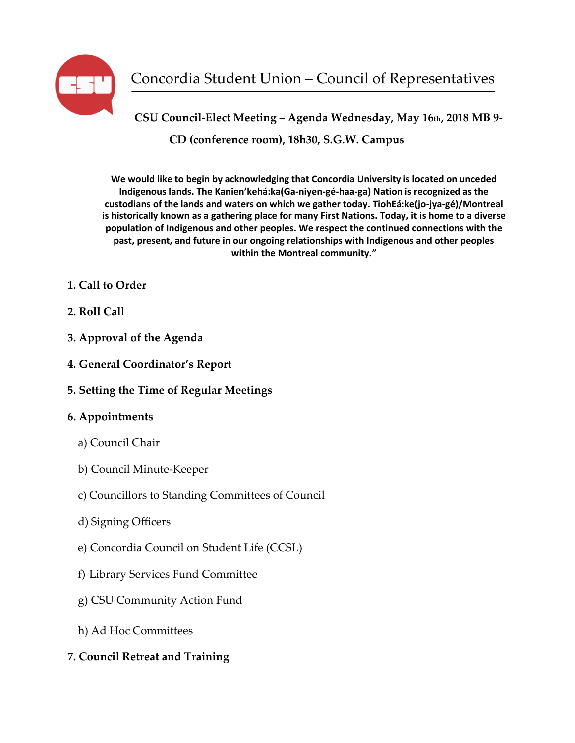

**CSU Council-Elect Meeting – Agenda Wednesday, May 16th, 2018 MB 9- CD (conference room), 18h30, S.G.W. Campus**

**We would like to begin by acknowledging that Concordia University is located on unceded Indigenous lands. The Kanien'kehá:ka(Ga-niyen-gé-haa-ga) Nation is recognized as the custodians of the lands and waters on which we gather today. TiohEá:ke(jo-jya-gé)/Montreal is historically known as a gathering place for many First Nations. Today, it is home to a diverse population of Indigenous and other peoples. We respect the continued connections with the past, present, and future in our ongoing relationships with Indigenous and other peoples within the Montreal community."**

- **1. Call to Order**
- **2. Roll Call**
- **3. Approval of the Agenda**
- **4. General Coordinator's Report**
- **5. Setting the Time of Regular Meetings**

# **6. Appointments**

- a) Council Chair
- b) Council Minute-Keeper
- c) Councillors to Standing Committees of Council
- d) Signing Officers
- e) Concordia Council on Student Life (CCSL)
- f) Library Services Fund Committee
- g) CSU Community Action Fund
- h) Ad Hoc Committees
- **7. Council Retreat and Training**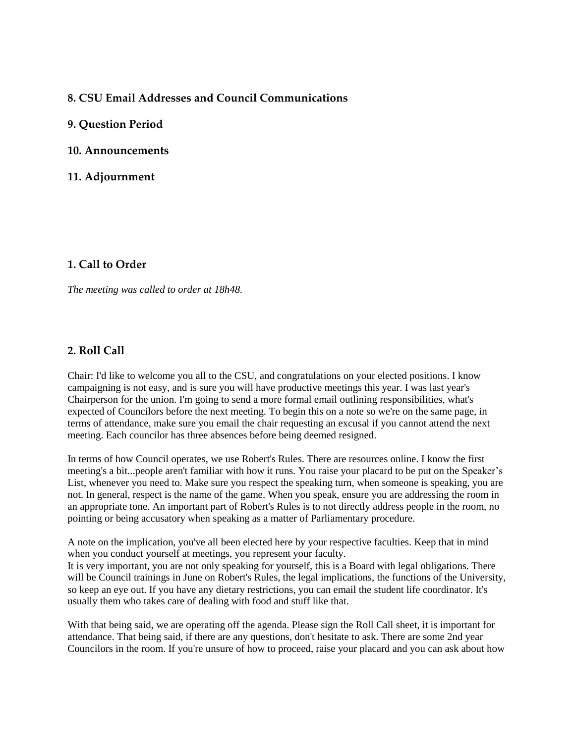### **8. CSU Email Addresses and Council Communications**

#### **9. Question Period**

#### **10. Announcements**

#### **11. Adjournment**

#### **1. Call to Order**

*The meeting was called to order at 18h48.*

### **2. Roll Call**

Chair: I'd like to welcome you all to the CSU, and congratulations on your elected positions. I know campaigning is not easy, and is sure you will have productive meetings this year. I was last year's Chairperson for the union. I'm going to send a more formal email outlining responsibilities, what's expected of Councilors before the next meeting. To begin this on a note so we're on the same page, in terms of attendance, make sure you email the chair requesting an excusal if you cannot attend the next meeting. Each councilor has three absences before being deemed resigned.

In terms of how Council operates, we use Robert's Rules. There are resources online. I know the first meeting's a bit...people aren't familiar with how it runs. You raise your placard to be put on the Speaker's List, whenever you need to. Make sure you respect the speaking turn, when someone is speaking, you are not. In general, respect is the name of the game. When you speak, ensure you are addressing the room in an appropriate tone. An important part of Robert's Rules is to not directly address people in the room, no pointing or being accusatory when speaking as a matter of Parliamentary procedure.

A note on the implication, you've all been elected here by your respective faculties. Keep that in mind when you conduct yourself at meetings, you represent your faculty.

It is very important, you are not only speaking for yourself, this is a Board with legal obligations. There will be Council trainings in June on Robert's Rules, the legal implications, the functions of the University, so keep an eye out. If you have any dietary restrictions, you can email the student life coordinator. It's usually them who takes care of dealing with food and stuff like that.

With that being said, we are operating off the agenda. Please sign the Roll Call sheet, it is important for attendance. That being said, if there are any questions, don't hesitate to ask. There are some 2nd year Councilors in the room. If you're unsure of how to proceed, raise your placard and you can ask about how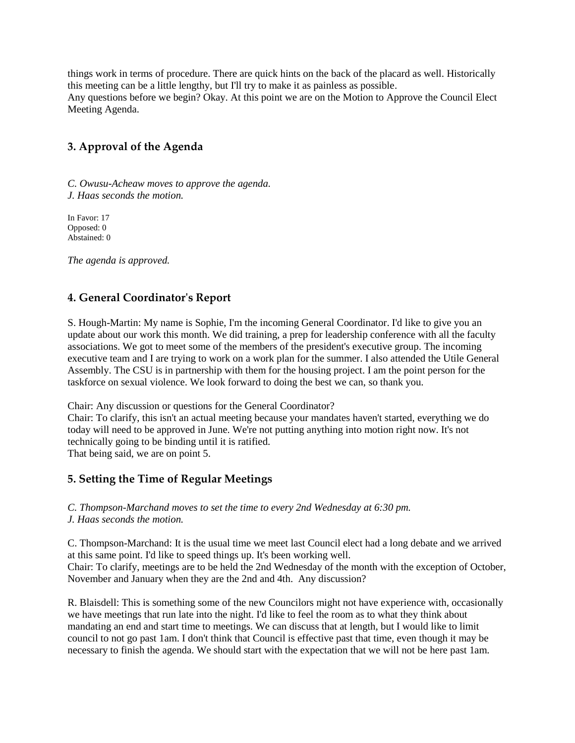things work in terms of procedure. There are quick hints on the back of the placard as well. Historically this meeting can be a little lengthy, but I'll try to make it as painless as possible. Any questions before we begin? Okay. At this point we are on the Motion to Approve the Council Elect Meeting Agenda.

## **3. Approval of the Agenda**

*C. Owusu-Acheaw moves to approve the agenda. J. Haas seconds the motion.*

In Favor: 17 Opposed: 0 Abstained: 0

*The agenda is approved.* 

#### **4. General Coordinator's Report**

S. Hough-Martin: My name is Sophie, I'm the incoming General Coordinator. I'd like to give you an update about our work this month. We did training, a prep for leadership conference with all the faculty associations. We got to meet some of the members of the president's executive group. The incoming executive team and I are trying to work on a work plan for the summer. I also attended the Utile General Assembly. The CSU is in partnership with them for the housing project. I am the point person for the taskforce on sexual violence. We look forward to doing the best we can, so thank you.

Chair: Any discussion or questions for the General Coordinator?

Chair: To clarify, this isn't an actual meeting because your mandates haven't started, everything we do today will need to be approved in June. We're not putting anything into motion right now. It's not technically going to be binding until it is ratified. That being said, we are on point 5.

#### **5. Setting the Time of Regular Meetings**

*C. Thompson-Marchand moves to set the time to every 2nd Wednesday at 6:30 pm.*

*J. Haas seconds the motion.*

C. Thompson-Marchand: It is the usual time we meet last Council elect had a long debate and we arrived at this same point. I'd like to speed things up. It's been working well.

Chair: To clarify, meetings are to be held the 2nd Wednesday of the month with the exception of October, November and January when they are the 2nd and 4th. Any discussion?

R. Blaisdell: This is something some of the new Councilors might not have experience with, occasionally we have meetings that run late into the night. I'd like to feel the room as to what they think about mandating an end and start time to meetings. We can discuss that at length, but I would like to limit council to not go past 1am. I don't think that Council is effective past that time, even though it may be necessary to finish the agenda. We should start with the expectation that we will not be here past 1am.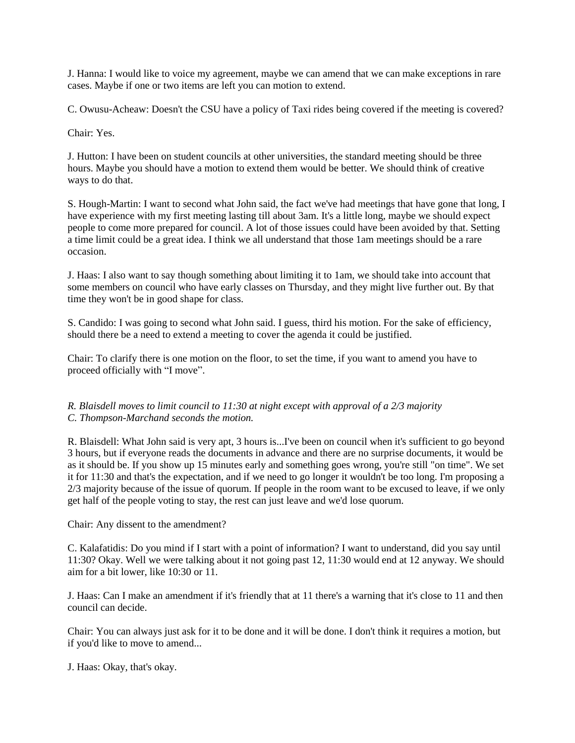J. Hanna: I would like to voice my agreement, maybe we can amend that we can make exceptions in rare cases. Maybe if one or two items are left you can motion to extend.

C. Owusu-Acheaw: Doesn't the CSU have a policy of Taxi rides being covered if the meeting is covered?

Chair: Yes.

J. Hutton: I have been on student councils at other universities, the standard meeting should be three hours. Maybe you should have a motion to extend them would be better. We should think of creative ways to do that.

S. Hough-Martin: I want to second what John said, the fact we've had meetings that have gone that long, I have experience with my first meeting lasting till about 3am. It's a little long, maybe we should expect people to come more prepared for council. A lot of those issues could have been avoided by that. Setting a time limit could be a great idea. I think we all understand that those 1am meetings should be a rare occasion.

J. Haas: I also want to say though something about limiting it to 1am, we should take into account that some members on council who have early classes on Thursday, and they might live further out. By that time they won't be in good shape for class.

S. Candido: I was going to second what John said. I guess, third his motion. For the sake of efficiency, should there be a need to extend a meeting to cover the agenda it could be justified.

Chair: To clarify there is one motion on the floor, to set the time, if you want to amend you have to proceed officially with "I move".

*R. Blaisdell moves to limit council to 11:30 at night except with approval of a 2/3 majority C. Thompson-Marchand seconds the motion.*

R. Blaisdell: What John said is very apt, 3 hours is...I've been on council when it's sufficient to go beyond 3 hours, but if everyone reads the documents in advance and there are no surprise documents, it would be as it should be. If you show up 15 minutes early and something goes wrong, you're still "on time". We set it for 11:30 and that's the expectation, and if we need to go longer it wouldn't be too long. I'm proposing a 2/3 majority because of the issue of quorum. If people in the room want to be excused to leave, if we only get half of the people voting to stay, the rest can just leave and we'd lose quorum.

Chair: Any dissent to the amendment?

C. Kalafatidis: Do you mind if I start with a point of information? I want to understand, did you say until 11:30? Okay. Well we were talking about it not going past 12, 11:30 would end at 12 anyway. We should aim for a bit lower, like 10:30 or 11.

J. Haas: Can I make an amendment if it's friendly that at 11 there's a warning that it's close to 11 and then council can decide.

Chair: You can always just ask for it to be done and it will be done. I don't think it requires a motion, but if you'd like to move to amend...

J. Haas: Okay, that's okay.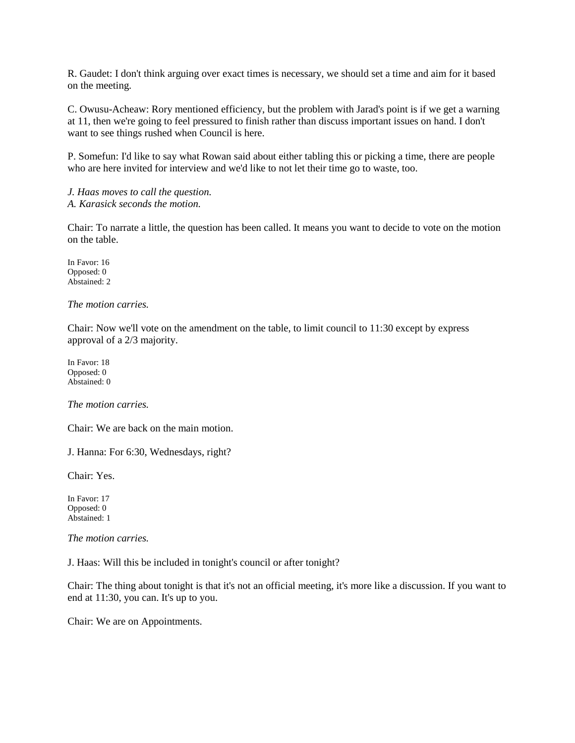R. Gaudet: I don't think arguing over exact times is necessary, we should set a time and aim for it based on the meeting.

C. Owusu-Acheaw: Rory mentioned efficiency, but the problem with Jarad's point is if we get a warning at 11, then we're going to feel pressured to finish rather than discuss important issues on hand. I don't want to see things rushed when Council is here.

P. Somefun: I'd like to say what Rowan said about either tabling this or picking a time, there are people who are here invited for interview and we'd like to not let their time go to waste, too.

*J. Haas moves to call the question. A. Karasick seconds the motion.*

Chair: To narrate a little, the question has been called. It means you want to decide to vote on the motion on the table.

In Favor: 16 Opposed: 0 Abstained: 2

*The motion carries.*

Chair: Now we'll vote on the amendment on the table, to limit council to 11:30 except by express approval of a 2/3 majority.

In Favor: 18 Opposed: 0 Abstained: 0

*The motion carries.* 

Chair: We are back on the main motion.

J. Hanna: For 6:30, Wednesdays, right?

Chair: Yes.

In Favor: 17 Opposed: 0 Abstained: 1

*The motion carries.*

J. Haas: Will this be included in tonight's council or after tonight?

Chair: The thing about tonight is that it's not an official meeting, it's more like a discussion. If you want to end at 11:30, you can. It's up to you.

Chair: We are on Appointments.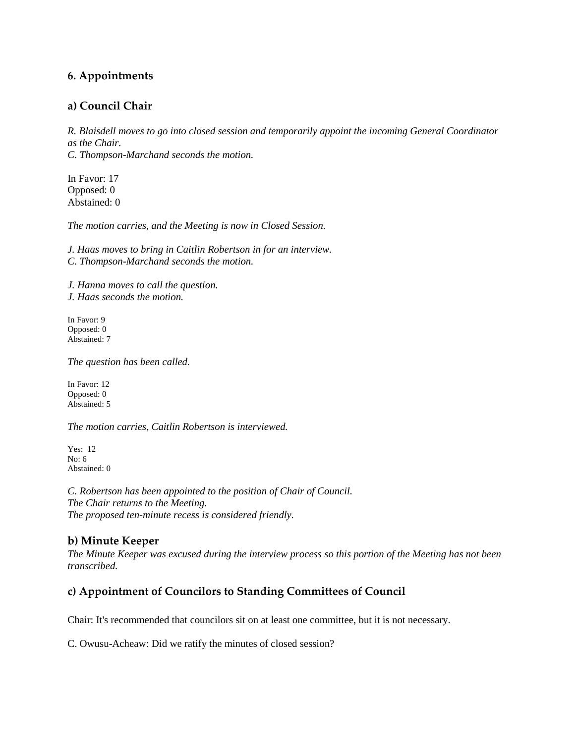### **6. Appointments**

#### **a) Council Chair**

*R. Blaisdell moves to go into closed session and temporarily appoint the incoming General Coordinator as the Chair. C. Thompson-Marchand seconds the motion.*

In Favor: 17 Opposed: 0 Abstained: 0

*The motion carries, and the Meeting is now in Closed Session.*

*J. Haas moves to bring in Caitlin Robertson in for an interview. C. Thompson-Marchand seconds the motion.*

*J. Hanna moves to call the question. J. Haas seconds the motion.*

In Favor: 9 Opposed: 0 Abstained: 7

*The question has been called.* 

In Favor: 12 Opposed: 0 Abstained: 5

*The motion carries, Caitlin Robertson is interviewed.*

Yes: 12 No: 6 Abstained: 0

*C. Robertson has been appointed to the position of Chair of Council. The Chair returns to the Meeting. The proposed ten-minute recess is considered friendly.* 

#### **b) Minute Keeper**

*The Minute Keeper was excused during the interview process so this portion of the Meeting has not been transcribed.*

# **c) Appointment of Councilors to Standing Committees of Council**

Chair: It's recommended that councilors sit on at least one committee, but it is not necessary.

C. Owusu-Acheaw: Did we ratify the minutes of closed session?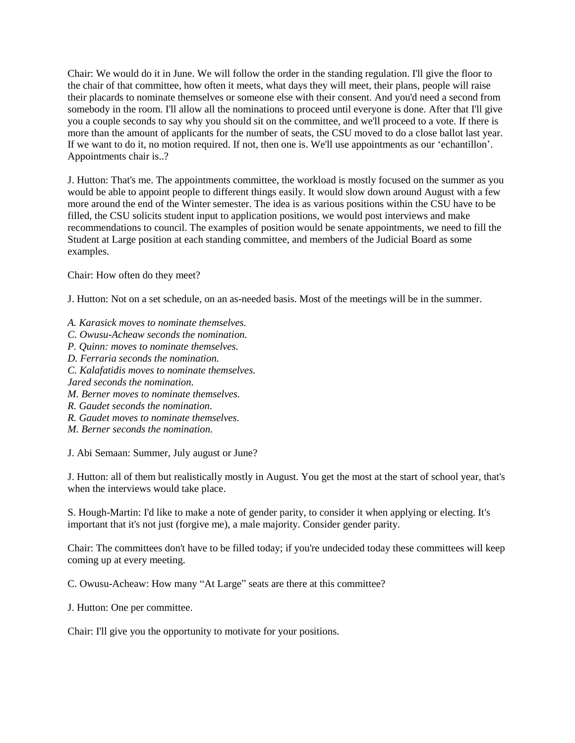Chair: We would do it in June. We will follow the order in the standing regulation. I'll give the floor to the chair of that committee, how often it meets, what days they will meet, their plans, people will raise their placards to nominate themselves or someone else with their consent. And you'd need a second from somebody in the room. I'll allow all the nominations to proceed until everyone is done. After that I'll give you a couple seconds to say why you should sit on the committee, and we'll proceed to a vote. If there is more than the amount of applicants for the number of seats, the CSU moved to do a close ballot last year. If we want to do it, no motion required. If not, then one is. We'll use appointments as our 'echantillon'. Appointments chair is..?

J. Hutton: That's me. The appointments committee, the workload is mostly focused on the summer as you would be able to appoint people to different things easily. It would slow down around August with a few more around the end of the Winter semester. The idea is as various positions within the CSU have to be filled, the CSU solicits student input to application positions, we would post interviews and make recommendations to council. The examples of position would be senate appointments, we need to fill the Student at Large position at each standing committee, and members of the Judicial Board as some examples.

Chair: How often do they meet?

J. Hutton: Not on a set schedule, on an as-needed basis. Most of the meetings will be in the summer.

- *A. Karasick moves to nominate themselves.*
- *C. Owusu-Acheaw seconds the nomination.*
- *P. Quinn: moves to nominate themselves.*
- *D. Ferraria seconds the nomination.*
- *C. Kalafatidis moves to nominate themselves.*
- *Jared seconds the nomination.*
- *M. Berner moves to nominate themselves.*
- *R. Gaudet seconds the nomination.*
- *R. Gaudet moves to nominate themselves.*
- *M. Berner seconds the nomination.*

J. Abi Semaan: Summer, July august or June?

J. Hutton: all of them but realistically mostly in August. You get the most at the start of school year, that's when the interviews would take place.

S. Hough-Martin: I'd like to make a note of gender parity, to consider it when applying or electing. It's important that it's not just (forgive me), a male majority. Consider gender parity.

Chair: The committees don't have to be filled today; if you're undecided today these committees will keep coming up at every meeting.

C. Owusu-Acheaw: How many "At Large" seats are there at this committee?

J. Hutton: One per committee.

Chair: I'll give you the opportunity to motivate for your positions.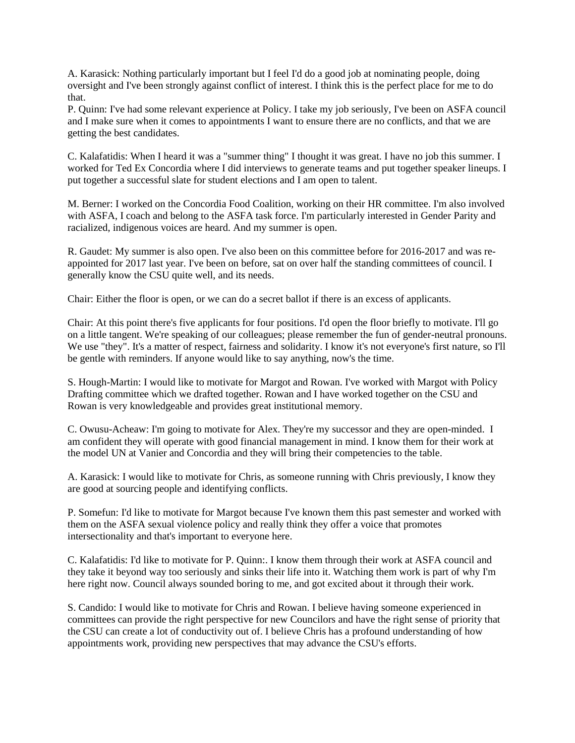A. Karasick: Nothing particularly important but I feel I'd do a good job at nominating people, doing oversight and I've been strongly against conflict of interest. I think this is the perfect place for me to do that.

P. Quinn: I've had some relevant experience at Policy. I take my job seriously, I've been on ASFA council and I make sure when it comes to appointments I want to ensure there are no conflicts, and that we are getting the best candidates.

C. Kalafatidis: When I heard it was a "summer thing" I thought it was great. I have no job this summer. I worked for Ted Ex Concordia where I did interviews to generate teams and put together speaker lineups. I put together a successful slate for student elections and I am open to talent.

M. Berner: I worked on the Concordia Food Coalition, working on their HR committee. I'm also involved with ASFA, I coach and belong to the ASFA task force. I'm particularly interested in Gender Parity and racialized, indigenous voices are heard. And my summer is open.

R. Gaudet: My summer is also open. I've also been on this committee before for 2016-2017 and was reappointed for 2017 last year. I've been on before, sat on over half the standing committees of council. I generally know the CSU quite well, and its needs.

Chair: Either the floor is open, or we can do a secret ballot if there is an excess of applicants.

Chair: At this point there's five applicants for four positions. I'd open the floor briefly to motivate. I'll go on a little tangent. We're speaking of our colleagues; please remember the fun of gender-neutral pronouns. We use "they". It's a matter of respect, fairness and solidarity. I know it's not everyone's first nature, so I'll be gentle with reminders. If anyone would like to say anything, now's the time.

S. Hough-Martin: I would like to motivate for Margot and Rowan. I've worked with Margot with Policy Drafting committee which we drafted together. Rowan and I have worked together on the CSU and Rowan is very knowledgeable and provides great institutional memory.

C. Owusu-Acheaw: I'm going to motivate for Alex. They're my successor and they are open-minded. I am confident they will operate with good financial management in mind. I know them for their work at the model UN at Vanier and Concordia and they will bring their competencies to the table.

A. Karasick: I would like to motivate for Chris, as someone running with Chris previously, I know they are good at sourcing people and identifying conflicts.

P. Somefun: I'd like to motivate for Margot because I've known them this past semester and worked with them on the ASFA sexual violence policy and really think they offer a voice that promotes intersectionality and that's important to everyone here.

C. Kalafatidis: I'd like to motivate for P. Quinn:. I know them through their work at ASFA council and they take it beyond way too seriously and sinks their life into it. Watching them work is part of why I'm here right now. Council always sounded boring to me, and got excited about it through their work.

S. Candido: I would like to motivate for Chris and Rowan. I believe having someone experienced in committees can provide the right perspective for new Councilors and have the right sense of priority that the CSU can create a lot of conductivity out of. I believe Chris has a profound understanding of how appointments work, providing new perspectives that may advance the CSU's efforts.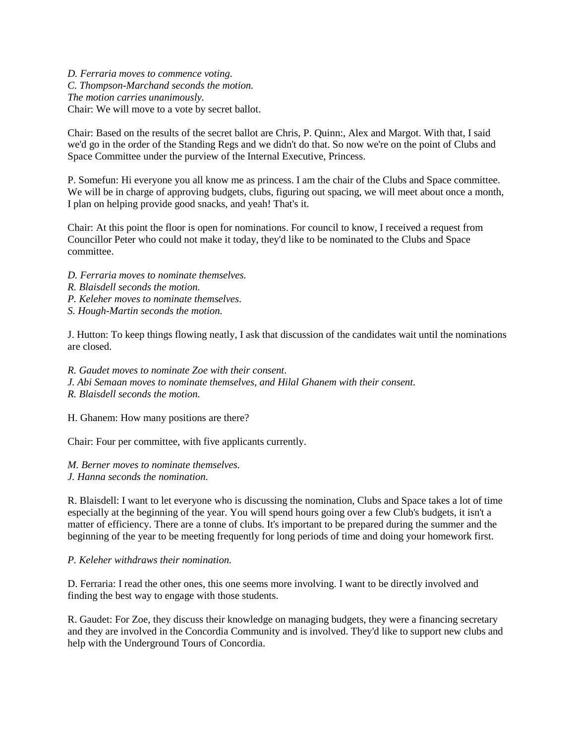*D. Ferraria moves to commence voting. C. Thompson-Marchand seconds the motion. The motion carries unanimously.*  Chair: We will move to a vote by secret ballot.

Chair: Based on the results of the secret ballot are Chris, P. Quinn:, Alex and Margot. With that, I said we'd go in the order of the Standing Regs and we didn't do that. So now we're on the point of Clubs and Space Committee under the purview of the Internal Executive, Princess.

P. Somefun: Hi everyone you all know me as princess. I am the chair of the Clubs and Space committee. We will be in charge of approving budgets, clubs, figuring out spacing, we will meet about once a month, I plan on helping provide good snacks, and yeah! That's it.

Chair: At this point the floor is open for nominations. For council to know, I received a request from Councillor Peter who could not make it today, they'd like to be nominated to the Clubs and Space committee.

- *D. Ferraria moves to nominate themselves.*
- *R. Blaisdell seconds the motion.*
- *P. Keleher moves to nominate themselves.*
- *S. Hough-Martin seconds the motion.*

J. Hutton: To keep things flowing neatly, I ask that discussion of the candidates wait until the nominations are closed.

- *R. Gaudet moves to nominate Zoe with their consent.*
- *J. Abi Semaan moves to nominate themselves, and Hilal Ghanem with their consent.*
- *R. Blaisdell seconds the motion.*

H. Ghanem: How many positions are there?

Chair: Four per committee, with five applicants currently.

*M. Berner moves to nominate themselves.* 

*J. Hanna seconds the nomination.*

R. Blaisdell: I want to let everyone who is discussing the nomination, Clubs and Space takes a lot of time especially at the beginning of the year. You will spend hours going over a few Club's budgets, it isn't a matter of efficiency. There are a tonne of clubs. It's important to be prepared during the summer and the beginning of the year to be meeting frequently for long periods of time and doing your homework first.

#### *P. Keleher withdraws their nomination.*

D. Ferraria: I read the other ones, this one seems more involving. I want to be directly involved and finding the best way to engage with those students.

R. Gaudet: For Zoe, they discuss their knowledge on managing budgets, they were a financing secretary and they are involved in the Concordia Community and is involved. They'd like to support new clubs and help with the Underground Tours of Concordia.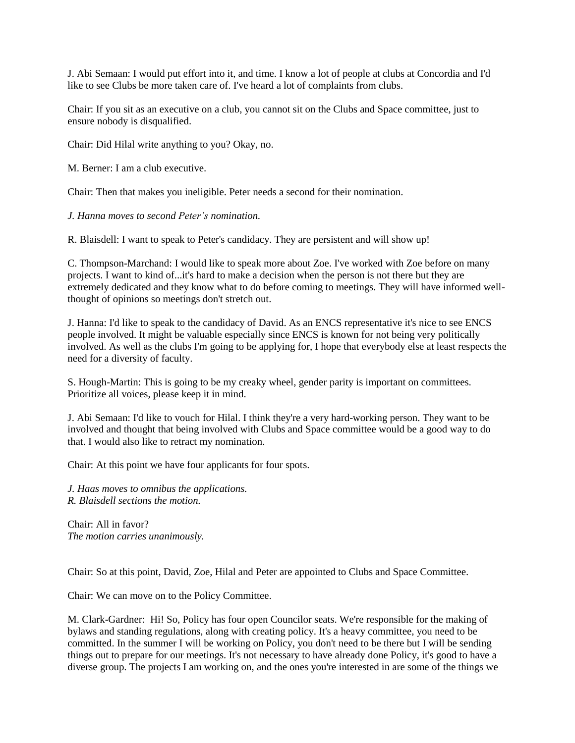J. Abi Semaan: I would put effort into it, and time. I know a lot of people at clubs at Concordia and I'd like to see Clubs be more taken care of. I've heard a lot of complaints from clubs.

Chair: If you sit as an executive on a club, you cannot sit on the Clubs and Space committee, just to ensure nobody is disqualified.

Chair: Did Hilal write anything to you? Okay, no.

M. Berner: I am a club executive.

Chair: Then that makes you ineligible. Peter needs a second for their nomination.

*J. Hanna moves to second Peter's nomination.* 

R. Blaisdell: I want to speak to Peter's candidacy. They are persistent and will show up!

C. Thompson-Marchand: I would like to speak more about Zoe. I've worked with Zoe before on many projects. I want to kind of...it's hard to make a decision when the person is not there but they are extremely dedicated and they know what to do before coming to meetings. They will have informed wellthought of opinions so meetings don't stretch out.

J. Hanna: I'd like to speak to the candidacy of David. As an ENCS representative it's nice to see ENCS people involved. It might be valuable especially since ENCS is known for not being very politically involved. As well as the clubs I'm going to be applying for, I hope that everybody else at least respects the need for a diversity of faculty.

S. Hough-Martin: This is going to be my creaky wheel, gender parity is important on committees. Prioritize all voices, please keep it in mind.

J. Abi Semaan: I'd like to vouch for Hilal. I think they're a very hard-working person. They want to be involved and thought that being involved with Clubs and Space committee would be a good way to do that. I would also like to retract my nomination.

Chair: At this point we have four applicants for four spots.

*J. Haas moves to omnibus the applications. R. Blaisdell sections the motion.*

Chair: All in favor? *The motion carries unanimously.* 

Chair: So at this point, David, Zoe, Hilal and Peter are appointed to Clubs and Space Committee.

Chair: We can move on to the Policy Committee.

M. Clark-Gardner: Hi! So, Policy has four open Councilor seats. We're responsible for the making of bylaws and standing regulations, along with creating policy. It's a heavy committee, you need to be committed. In the summer I will be working on Policy, you don't need to be there but I will be sending things out to prepare for our meetings. It's not necessary to have already done Policy, it's good to have a diverse group. The projects I am working on, and the ones you're interested in are some of the things we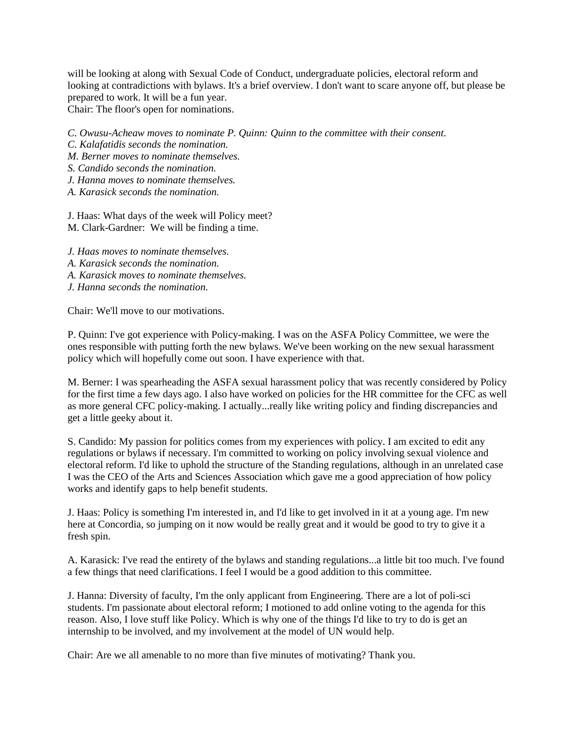will be looking at along with Sexual Code of Conduct, undergraduate policies, electoral reform and looking at contradictions with bylaws. It's a brief overview. I don't want to scare anyone off, but please be prepared to work. It will be a fun year. Chair: The floor's open for nominations.

*C. Owusu-Acheaw moves to nominate P. Quinn: Quinn to the committee with their consent.*

- *C. Kalafatidis seconds the nomination.*
- *M. Berner moves to nominate themselves.*
- *S. Candido seconds the nomination.*
- *J. Hanna moves to nominate themselves.*
- *A. Karasick seconds the nomination.*

J. Haas: What days of the week will Policy meet? M. Clark-Gardner: We will be finding a time.

- *J. Haas moves to nominate themselves.*
- *A. Karasick seconds the nomination.*
- *A. Karasick moves to nominate themselves.*
- *J. Hanna seconds the nomination.*

Chair: We'll move to our motivations.

P. Quinn: I've got experience with Policy-making. I was on the ASFA Policy Committee, we were the ones responsible with putting forth the new bylaws. We've been working on the new sexual harassment policy which will hopefully come out soon. I have experience with that.

M. Berner: I was spearheading the ASFA sexual harassment policy that was recently considered by Policy for the first time a few days ago. I also have worked on policies for the HR committee for the CFC as well as more general CFC policy-making. I actually...really like writing policy and finding discrepancies and get a little geeky about it.

S. Candido: My passion for politics comes from my experiences with policy. I am excited to edit any regulations or bylaws if necessary. I'm committed to working on policy involving sexual violence and electoral reform. I'd like to uphold the structure of the Standing regulations, although in an unrelated case I was the CEO of the Arts and Sciences Association which gave me a good appreciation of how policy works and identify gaps to help benefit students.

J. Haas: Policy is something I'm interested in, and I'd like to get involved in it at a young age. I'm new here at Concordia, so jumping on it now would be really great and it would be good to try to give it a fresh spin.

A. Karasick: I've read the entirety of the bylaws and standing regulations...a little bit too much. I've found a few things that need clarifications. I feel I would be a good addition to this committee.

J. Hanna: Diversity of faculty, I'm the only applicant from Engineering. There are a lot of poli-sci students. I'm passionate about electoral reform; I motioned to add online voting to the agenda for this reason. Also, I love stuff like Policy. Which is why one of the things I'd like to try to do is get an internship to be involved, and my involvement at the model of UN would help.

Chair: Are we all amenable to no more than five minutes of motivating? Thank you.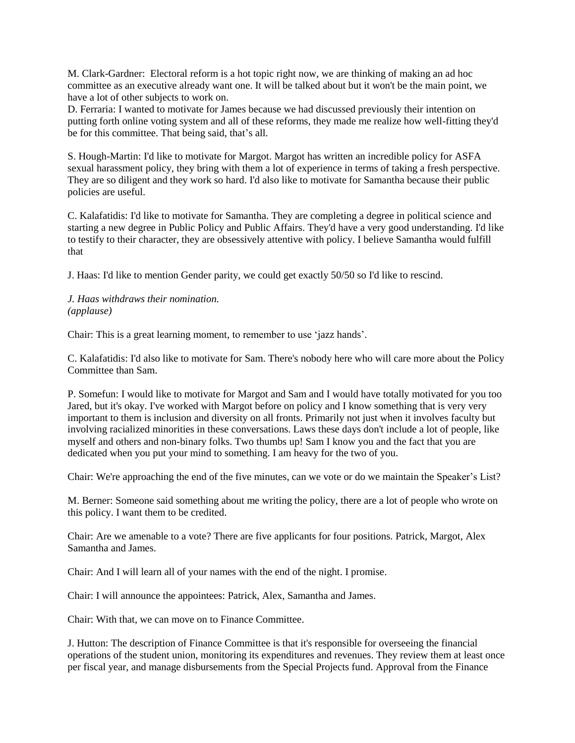M. Clark-Gardner: Electoral reform is a hot topic right now, we are thinking of making an ad hoc committee as an executive already want one. It will be talked about but it won't be the main point, we have a lot of other subjects to work on.

D. Ferraria: I wanted to motivate for James because we had discussed previously their intention on putting forth online voting system and all of these reforms, they made me realize how well-fitting they'd be for this committee. That being said, that's all.

S. Hough-Martin: I'd like to motivate for Margot. Margot has written an incredible policy for ASFA sexual harassment policy, they bring with them a lot of experience in terms of taking a fresh perspective. They are so diligent and they work so hard. I'd also like to motivate for Samantha because their public policies are useful.

C. Kalafatidis: I'd like to motivate for Samantha. They are completing a degree in political science and starting a new degree in Public Policy and Public Affairs. They'd have a very good understanding. I'd like to testify to their character, they are obsessively attentive with policy. I believe Samantha would fulfill that

J. Haas: I'd like to mention Gender parity, we could get exactly 50/50 so I'd like to rescind.

*J. Haas withdraws their nomination. (applause)*

Chair: This is a great learning moment, to remember to use 'jazz hands'.

C. Kalafatidis: I'd also like to motivate for Sam. There's nobody here who will care more about the Policy Committee than Sam.

P. Somefun: I would like to motivate for Margot and Sam and I would have totally motivated for you too Jared, but it's okay. I've worked with Margot before on policy and I know something that is very very important to them is inclusion and diversity on all fronts. Primarily not just when it involves faculty but involving racialized minorities in these conversations. Laws these days don't include a lot of people, like myself and others and non-binary folks. Two thumbs up! Sam I know you and the fact that you are dedicated when you put your mind to something. I am heavy for the two of you.

Chair: We're approaching the end of the five minutes, can we vote or do we maintain the Speaker's List?

M. Berner: Someone said something about me writing the policy, there are a lot of people who wrote on this policy. I want them to be credited.

Chair: Are we amenable to a vote? There are five applicants for four positions. Patrick, Margot, Alex Samantha and James.

Chair: And I will learn all of your names with the end of the night. I promise.

Chair: I will announce the appointees: Patrick, Alex, Samantha and James.

Chair: With that, we can move on to Finance Committee.

J. Hutton: The description of Finance Committee is that it's responsible for overseeing the financial operations of the student union, monitoring its expenditures and revenues. They review them at least once per fiscal year, and manage disbursements from the Special Projects fund. Approval from the Finance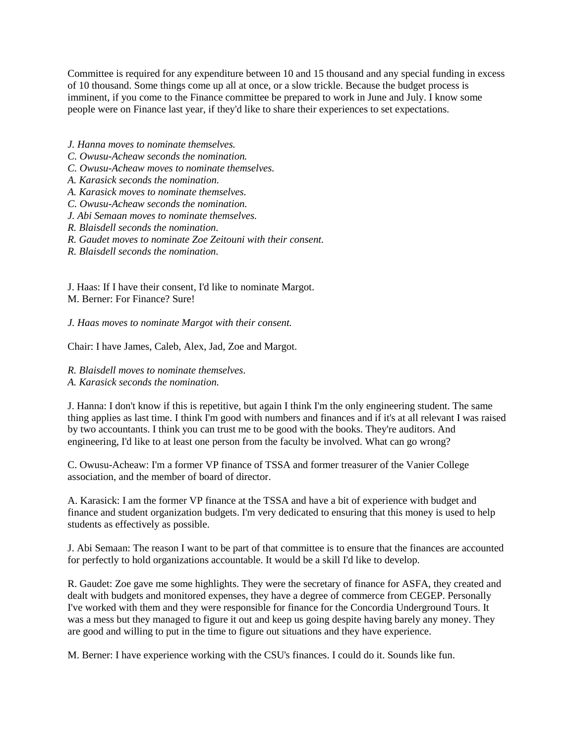Committee is required for any expenditure between 10 and 15 thousand and any special funding in excess of 10 thousand. Some things come up all at once, or a slow trickle. Because the budget process is imminent, if you come to the Finance committee be prepared to work in June and July. I know some people were on Finance last year, if they'd like to share their experiences to set expectations.

- *J. Hanna moves to nominate themselves.*
- *C. Owusu-Acheaw seconds the nomination.*
- *C. Owusu-Acheaw moves to nominate themselves.*
- *A. Karasick seconds the nomination.*
- *A. Karasick moves to nominate themselves.*
- *C. Owusu-Acheaw seconds the nomination.*
- *J. Abi Semaan moves to nominate themselves.*
- *R. Blaisdell seconds the nomination.*
- *R. Gaudet moves to nominate Zoe Zeitouni with their consent.*
- *R. Blaisdell seconds the nomination.*

J. Haas: If I have their consent, I'd like to nominate Margot. M. Berner: For Finance? Sure!

*J. Haas moves to nominate Margot with their consent.* 

Chair: I have James, Caleb, Alex, Jad, Zoe and Margot.

- *R. Blaisdell moves to nominate themselves.*
- *A. Karasick seconds the nomination.*

J. Hanna: I don't know if this is repetitive, but again I think I'm the only engineering student. The same thing applies as last time. I think I'm good with numbers and finances and if it's at all relevant I was raised by two accountants. I think you can trust me to be good with the books. They're auditors. And engineering, I'd like to at least one person from the faculty be involved. What can go wrong?

C. Owusu-Acheaw: I'm a former VP finance of TSSA and former treasurer of the Vanier College association, and the member of board of director.

A. Karasick: I am the former VP finance at the TSSA and have a bit of experience with budget and finance and student organization budgets. I'm very dedicated to ensuring that this money is used to help students as effectively as possible.

J. Abi Semaan: The reason I want to be part of that committee is to ensure that the finances are accounted for perfectly to hold organizations accountable. It would be a skill I'd like to develop.

R. Gaudet: Zoe gave me some highlights. They were the secretary of finance for ASFA, they created and dealt with budgets and monitored expenses, they have a degree of commerce from CEGEP. Personally I've worked with them and they were responsible for finance for the Concordia Underground Tours. It was a mess but they managed to figure it out and keep us going despite having barely any money. They are good and willing to put in the time to figure out situations and they have experience.

M. Berner: I have experience working with the CSU's finances. I could do it. Sounds like fun.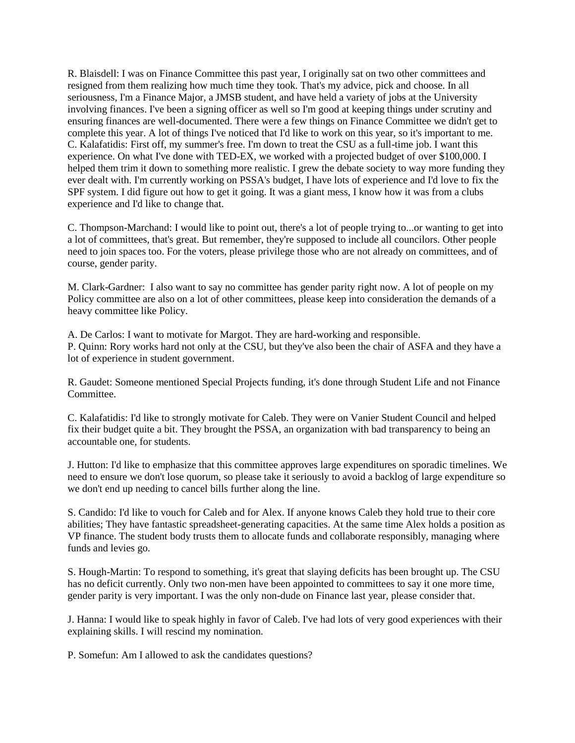R. Blaisdell: I was on Finance Committee this past year, I originally sat on two other committees and resigned from them realizing how much time they took. That's my advice, pick and choose. In all seriousness, I'm a Finance Major, a JMSB student, and have held a variety of jobs at the University involving finances. I've been a signing officer as well so I'm good at keeping things under scrutiny and ensuring finances are well-documented. There were a few things on Finance Committee we didn't get to complete this year. A lot of things I've noticed that I'd like to work on this year, so it's important to me. C. Kalafatidis: First off, my summer's free. I'm down to treat the CSU as a full-time job. I want this experience. On what I've done with TED-EX, we worked with a projected budget of over \$100,000. I helped them trim it down to something more realistic. I grew the debate society to way more funding they ever dealt with. I'm currently working on PSSA's budget, I have lots of experience and I'd love to fix the SPF system. I did figure out how to get it going. It was a giant mess, I know how it was from a clubs experience and I'd like to change that.

C. Thompson-Marchand: I would like to point out, there's a lot of people trying to...or wanting to get into a lot of committees, that's great. But remember, they're supposed to include all councilors. Other people need to join spaces too. For the voters, please privilege those who are not already on committees, and of course, gender parity.

M. Clark-Gardner: I also want to say no committee has gender parity right now. A lot of people on my Policy committee are also on a lot of other committees, please keep into consideration the demands of a heavy committee like Policy.

A. De Carlos: I want to motivate for Margot. They are hard-working and responsible. P. Quinn: Rory works hard not only at the CSU, but they've also been the chair of ASFA and they have a lot of experience in student government.

R. Gaudet: Someone mentioned Special Projects funding, it's done through Student Life and not Finance Committee.

C. Kalafatidis: I'd like to strongly motivate for Caleb. They were on Vanier Student Council and helped fix their budget quite a bit. They brought the PSSA, an organization with bad transparency to being an accountable one, for students.

J. Hutton: I'd like to emphasize that this committee approves large expenditures on sporadic timelines. We need to ensure we don't lose quorum, so please take it seriously to avoid a backlog of large expenditure so we don't end up needing to cancel bills further along the line.

S. Candido: I'd like to vouch for Caleb and for Alex. If anyone knows Caleb they hold true to their core abilities; They have fantastic spreadsheet-generating capacities. At the same time Alex holds a position as VP finance. The student body trusts them to allocate funds and collaborate responsibly, managing where funds and levies go.

S. Hough-Martin: To respond to something, it's great that slaying deficits has been brought up. The CSU has no deficit currently. Only two non-men have been appointed to committees to say it one more time, gender parity is very important. I was the only non-dude on Finance last year, please consider that.

J. Hanna: I would like to speak highly in favor of Caleb. I've had lots of very good experiences with their explaining skills. I will rescind my nomination.

P. Somefun: Am I allowed to ask the candidates questions?